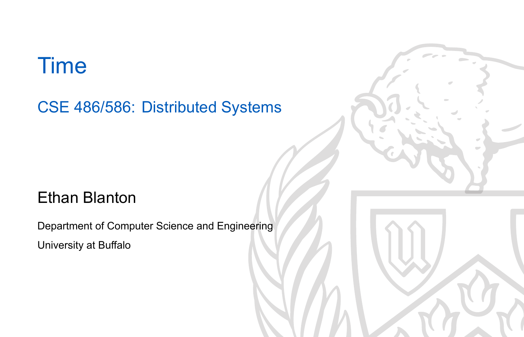### Time

CSE 486/586: Distributed Systems

#### Ethan Blanton

Department of Computer Science and Engineering University at Buffalo

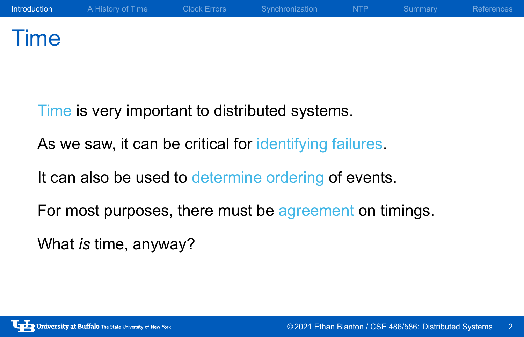### Time

Time is very important to distributed systems.

As we saw, it can be critical for identifying failures.

It can also be used to determine ordering of events.

For most purposes, there must be agreement on timings.

What *is* time, anyway?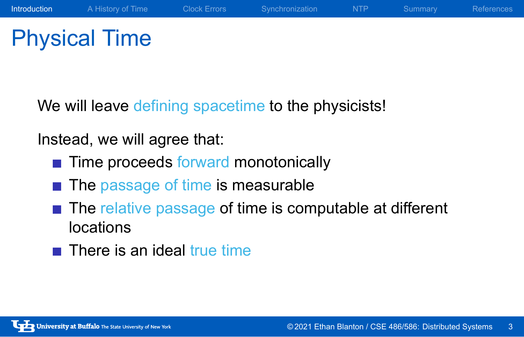## Physical Time

We will leave defining spacetime to the physicists!

Instead, we will agree that:

- Time proceeds forward monotonically
- The passage of time is measurable
- The relative passage of time is computable at different locations
- $\blacksquare$  There is an ideal true time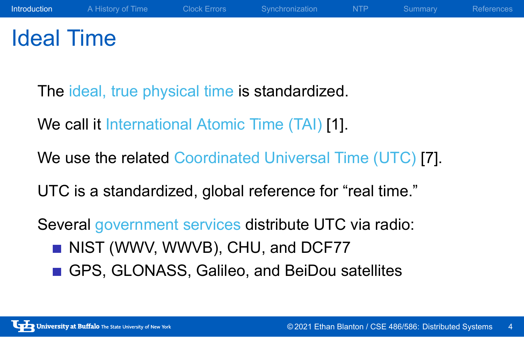### Ideal Time

The ideal, true physical time is standardized.

We call it International Atomic Time (TAI) [1].

We use the related Coordinated Universal Time (UTC) [7].

UTC is a standardized, global reference for "real time."

Several government services distribute UTC via radio:

- NIST (WWV, WWVB), CHU, and DCF77
- GPS, GLONASS, Galileo, and BeiDou satellites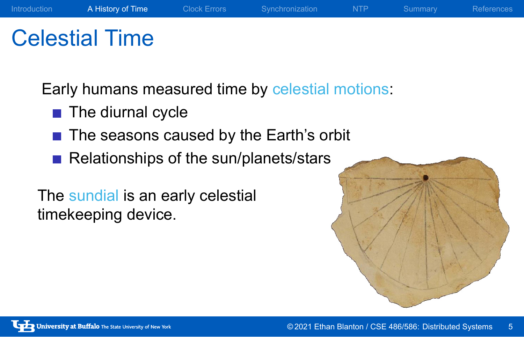### Celestial Time

Early humans measured time by celestial motions:

Introduction **A History of Time** Clock Errors Synchronization NTP Summary References

- The diurnal cycle
- The seasons caused by the Earth's orbit
- Relationships of the sun/planets/stars

The sundial is an early celestial timekeeping device.

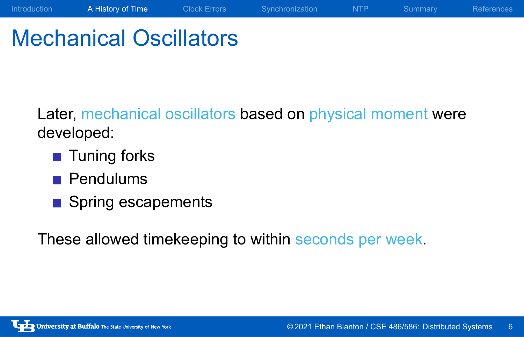### Mechanical Oscillators

Later, mechanical oscillators based on physical moment were developed:

Introduction A History of Time Clock Errors Synchronization NTP Summary References

- **Tuning forks**
- Pendulums
- Spring escapements

These allowed timekeeping to within seconds per week.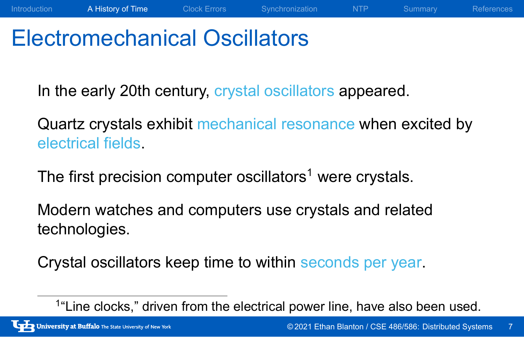### Electromechanical Oscillators

In the early 20th century, crystal oscillators appeared.

Quartz crystals exhibit mechanical resonance when excited by electrical fields.

Introduction A History of Time Clock Errors Synchronization NTP Summary References

The first precision computer oscillators<sup>1</sup> were crystals.

Modern watches and computers use crystals and related technologies.

Crystal oscillators keep time to within seconds per year.

<sup>&</sup>lt;sup>1</sup>"Line clocks," driven from the electrical power line, have also been used.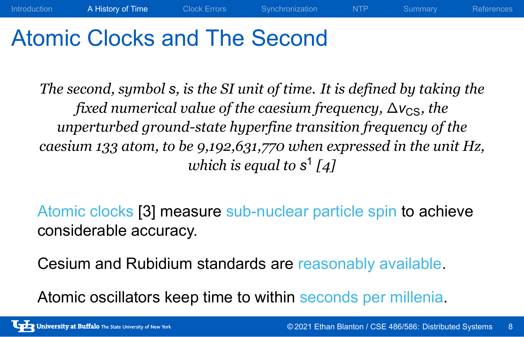### Atomic Clocks and The Second

*The second, symbol s, is the SI unit of time. It is defined by taking the fixed numerical value of the caesium frequency,* ∆ $v_{CS}$ *, the unperturbed ground-state hyperfine transition frequency of the caesium 133 atom, to be 9,192,631,770 when expressed in the unit Hz, which is equal to s* 1 *[4]*

Introduction A History of Time Clock Errors Synchronization NTP Summary References

Atomic clocks [3] measure sub-nuclear particle spin to achieve considerable accuracy.

Cesium and Rubidium standards are reasonably available.

Atomic oscillators keep time to within seconds per millenia.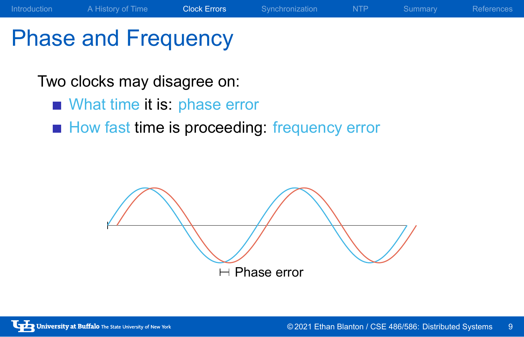## Phase and Frequency

Two clocks may disagree on:

- What time it is: phase error
- How fast time is proceeding: frequency error

 $\vdash$  Phase error

Introduction A History of Time Clock Errors Synchronization NTP Summary References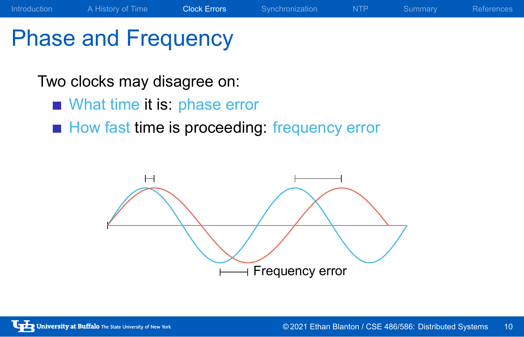# Phase and Frequency

Two clocks may disagree on:

- What time it is: phase error
- How fast time is proceeding: frequency error



Introduction A History of Time Clock Errors Synchronization NTP Summary References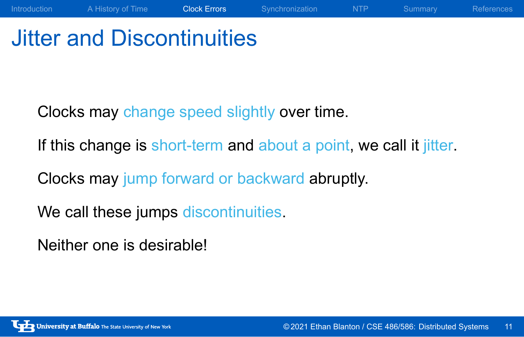### Jitter and Discontinuities

Clocks may change speed slightly over time.

If this change is short-term and about a point, we call it jitter.

Introduction A History of Time Clock Errors Synchronization NTP Summary References

Clocks may jump forward or backward abruptly.

We call these jumps discontinuities.

Neither one is desirable!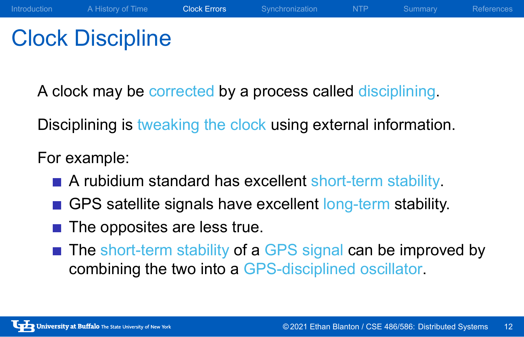### Clock Discipline

A clock may be corrected by a process called disciplining.

Disciplining is tweaking the clock using external information.

For example:

- A rubidium standard has excellent short-term stability.
- GPS satellite signals have excellent long-term stability.
- $\blacksquare$  The opposites are less true.
- The short-term stability of a GPS signal can be improved by combining the two into a GPS-disciplined oscillator.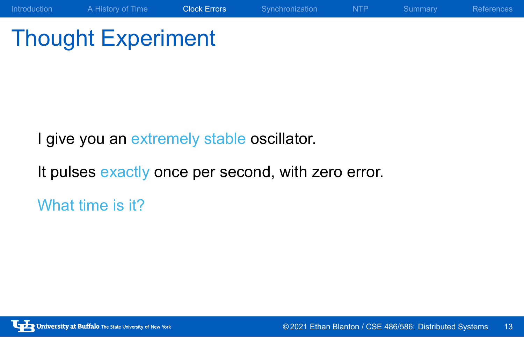## Thought Experiment

I give you an extremely stable oscillator.

It pulses exactly once per second, with zero error.

What time is it?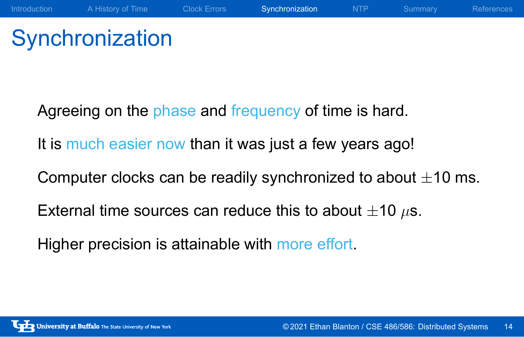## **Synchronization**

Agreeing on the phase and frequency of time is hard. It is much easier now than it was just a few years ago! Computer clocks can be readily synchronized to about *±*10 ms. External time sources can reduce this to about *±*10 *µ*s. Higher precision is attainable with more effort.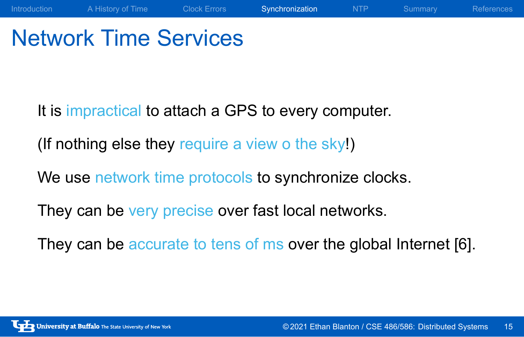### Network Time Services

It is impractical to attach a GPS to every computer.

(If nothing else they require a view o the sky!)

We use network time protocols to synchronize clocks.

They can be very precise over fast local networks.

They can be accurate to tens of ms over the global Internet [6].

Introduction A History of Time Clock Errors Synchronization NTP Summary References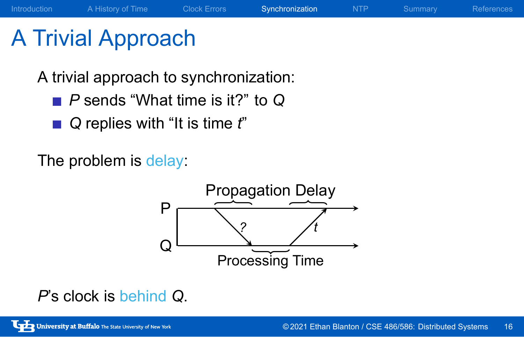## A Trivial Approach

A trivial approach to synchronization:

- *P* sends "What time is it?" to *Q*
- *Q* replies with "It is time  $t$ "

The problem is delay:



Introduction A History of Time Clock Errors Synchronization NTP Summary References

*P*'s clock is behind *Q*.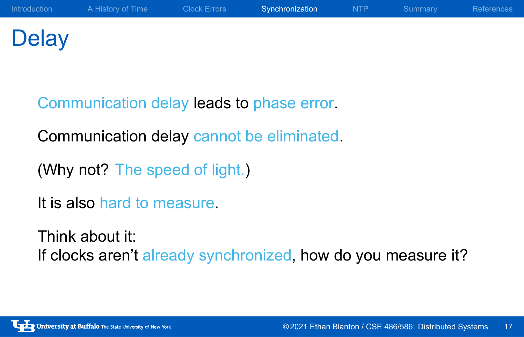### **Delay**

Communication delay leads to phase error.

Communication delay cannot be eliminated.

(Why not? The speed of light.)

It is also hard to measure.

Think about it: If clocks aren't already synchronized, how do you measure it?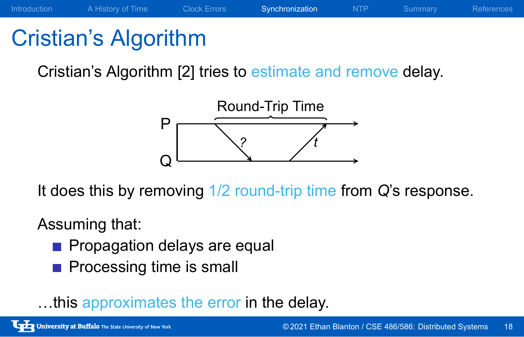### Cristian's Algorithm

Cristian's Algorithm [2] tries to estimate and remove delay.



It does this by removing 1/2 round-trip time from *Q*'s response.

#### Assuming that:

- **Propagation delays are equal**
- **Processing time is small**

…this approximates the error in the delay.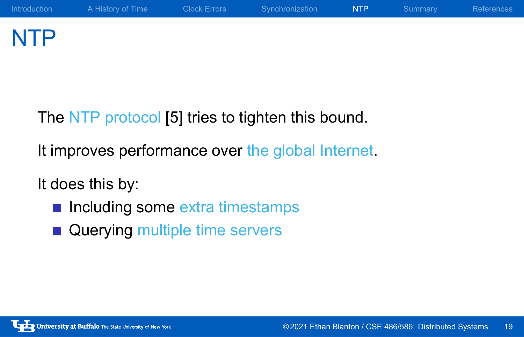### NTP

The NTP protocol [5] tries to tighten this bound.

It improves performance over the global Internet.

It does this by:

- **n** Including some extra timestamps
- **Querying multiple time servers**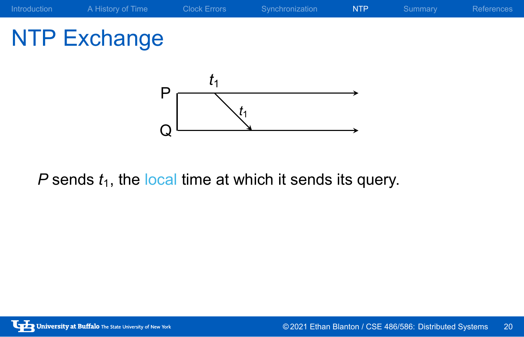

 $P$  sends  $t_1$ , the local time at which it sends its query.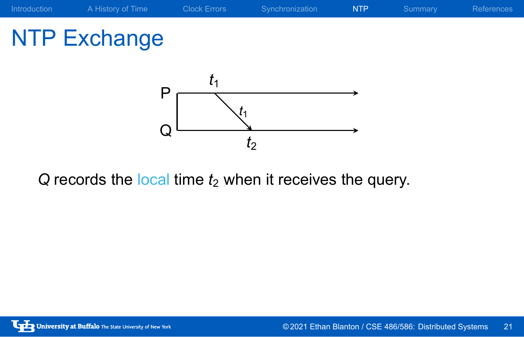NTP Exchange



 $Q$  records the local time  $t_2$  when it receives the query.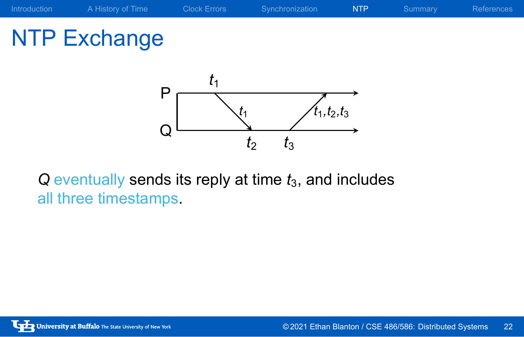## NTP Exchange



*Q* eventually sends its reply at time  $t_3$ , and includes all three timestamps.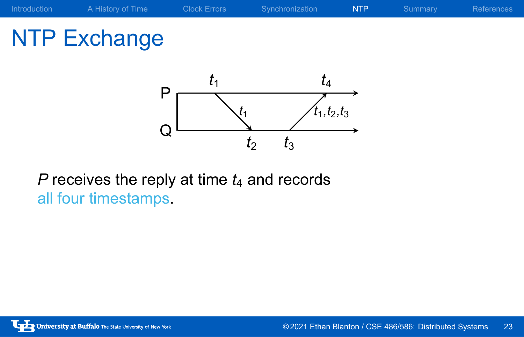## NTP Exchange



*P* receives the reply at time  $t_4$  and records all four timestamps.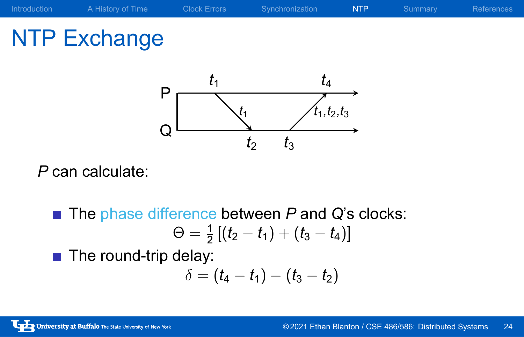## NTP Exchange



*P* can calculate:

- The phase difference between *P* and *Q*'s clocks:  $\Theta = \frac{1}{2} \left[ (t_2 - t_1) + (t_3 - t_4) \right]$
- The round-trip delay:  $\delta = (t_4 - t_1) - (t_3 - t_2)$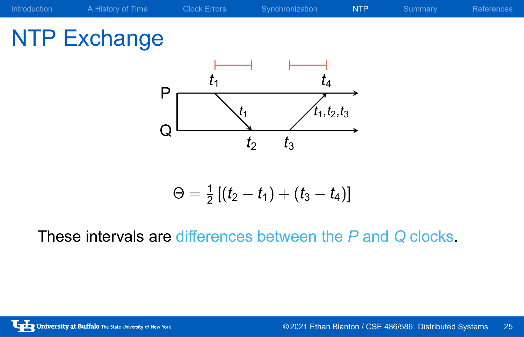### Introduction A History of Time Clock Errors Synchronization NTP Summary References NTP Exchange P Q *t*1 *t*1*,t*2*,t*<sup>3</sup> *t*1 *t*2 *t*3 *t*4  $\Theta = \frac{1}{2} \left[ (t_2 - t_1) + (t_3 - t_4) \right]$

These intervals are differences between the *P* and *Q* clocks.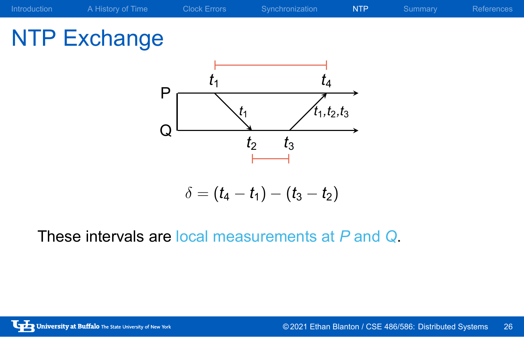

These intervals are local measurements at *P* and *Q*.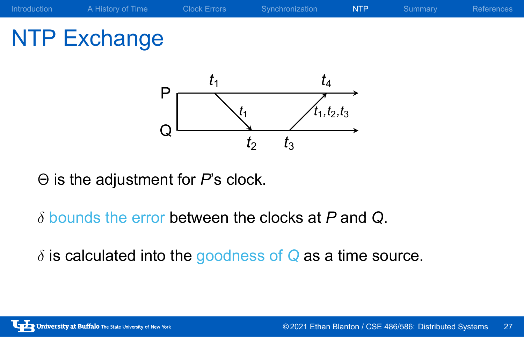## NTP Exchange



Θ is the adjustment for *P*'s clock.

- *δ* bounds the error between the clocks at *P* and *Q*.
- *δ* is calculated into the goodness of *Q* as a time source.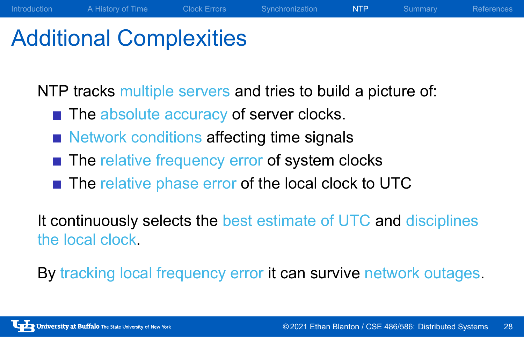### Additional Complexities

NTP tracks multiple servers and tries to build a picture of:

Introduction A History of Time Clock Errors Synchronization NTP Summary References

- The absolute accuracy of server clocks.
- Network conditions affecting time signals
- The relative frequency error of system clocks
- The relative phase error of the local clock to UTC

It continuously selects the best estimate of UTC and disciplines the local clock.

By tracking local frequency error it can survive network outages.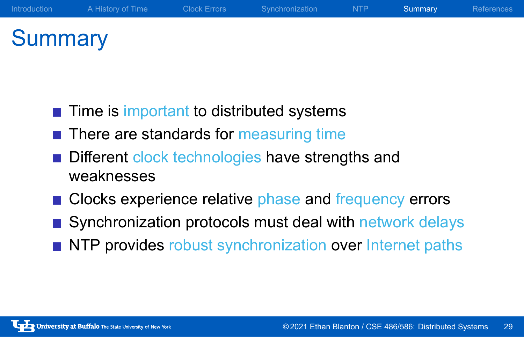### **Summary**

- $\blacksquare$  Time is important to distributed systems
- There are standards for measuring time
- Different clock technologies have strengths and weaknesses
- Clocks experience relative phase and frequency errors
- Synchronization protocols must deal with network delays

Introduction A History of Time Clock Errors Synchronization NTP Summary References

NTP provides robust synchronization over Internet paths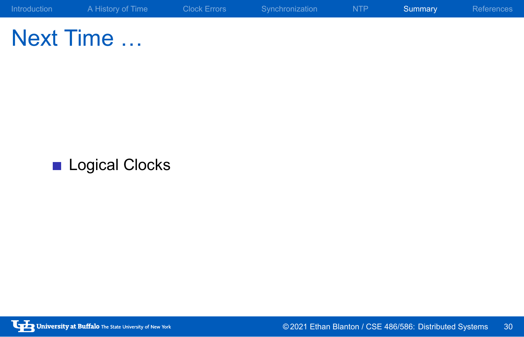Next Time …

Logical Clocks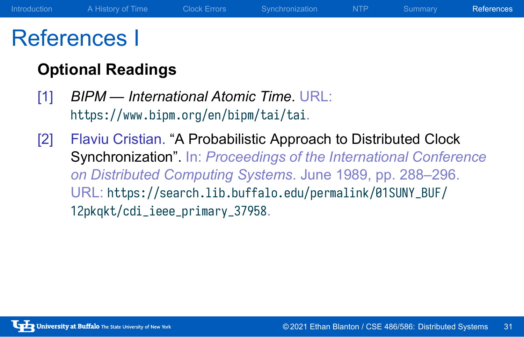### References I

### **Optional Readings**

- [1] *BIPM International Atomic Time*. URL: https://www.bipm.org/en/bipm/tai/tai.
- [2] Flaviu Cristian. "A Probabilistic Approach to Distributed Clock Synchronization". In: *Proceedings of the International Conference on Distributed Computing Systems*. June 1989, pp. 288–296. URL: https://search.lib.buffalo.edu/permalink/01SUNY\_BUF/ 12pkqkt/cdi\_ieee\_primary\_37958.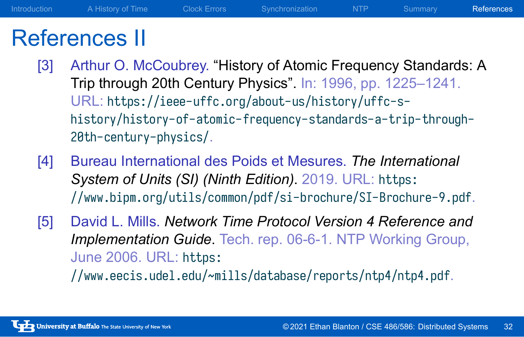### References II

- [3] Arthur O. McCoubrey. "History of Atomic Frequency Standards: A Trip through 20th Century Physics". In: 1996, pp. 1225–1241. URL: https://ieee-uffc.org/about-us/history/uffc-shistory/history-of-atomic-frequency-standards-a-trip-through-20th-century-physics/.
- [4] Bureau International des Poids et Mesures. *The International System of Units (SI) (Ninth Edition)*. 2019. URL: https: //www.bipm.org/utils/common/pdf/si-brochure/SI-Brochure-9.pdf.
- [5] David L. Mills. *Network Time Protocol Version 4 Reference and Implementation Guide*. Tech. rep. 06-6-1. NTP Working Group, June 2006. URL: https:

//www.eecis.udel.edu/~mills/database/reports/ntp4/ntp4.pdf.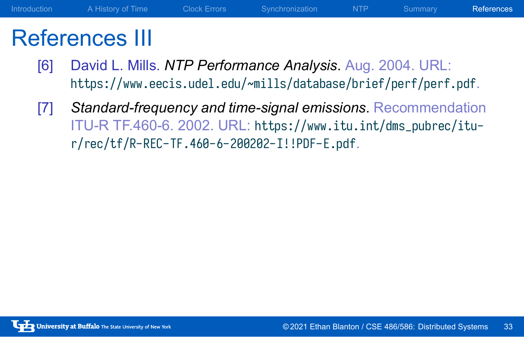### References III

- [6] David L. Mills. *NTP Performance Analysis*. Aug. 2004. URL: https://www.eecis.udel.edu/~mills/database/brief/perf/perf.pdf.
- [7] *Standard-frequency and time-signal emissions*. Recommendation ITU-R TF.460-6. 2002. URL: https://www.itu.int/dms\_pubrec/itur/rec/tf/R-REC-TF.460-6-200202-I!!PDF-E.pdf.